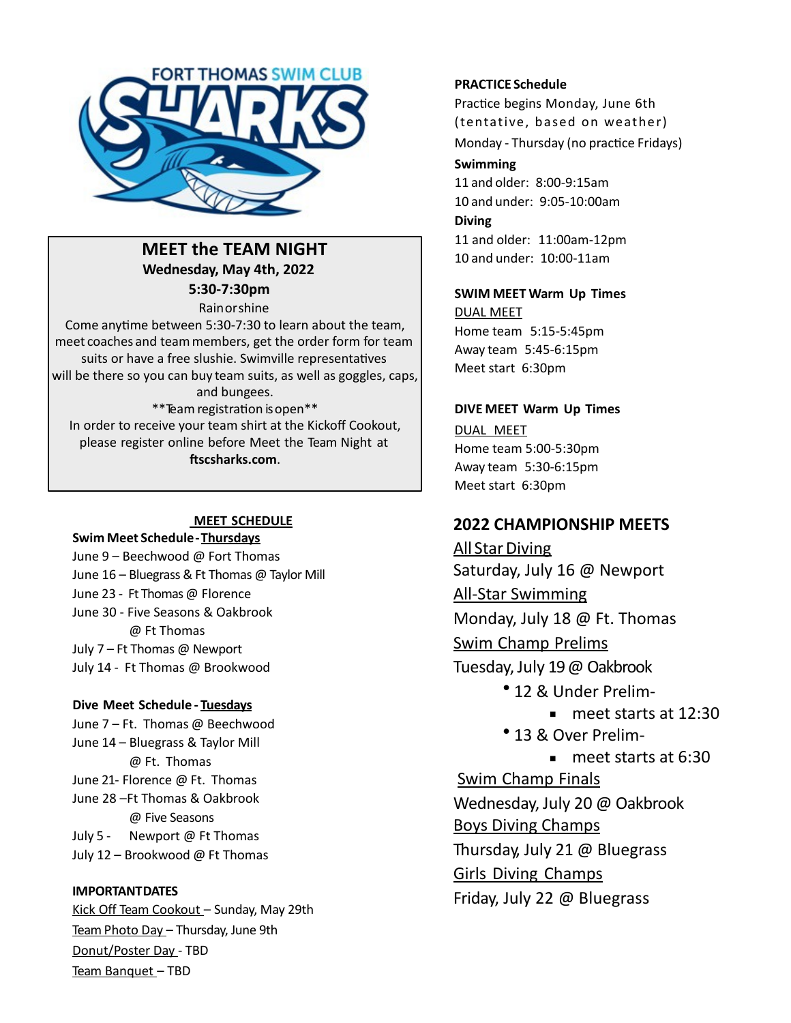

**MEET the TEAM NIGHT Wednesday, May 4th, 2022 5:30-7:30pm**

Rainorshine 

Come anytime between 5:30-7:30 to learn about the team, meet coaches and team members, get the order form for team suits or have a free slushie. Swimville representatives will be there so you can buy team suits, as well as goggles, caps, and bungees. \*\*Team registration is open\*\* In order to receive your team shirt at the Kickoff Cookout, please register online before Meet the Team Night at **ftscsharks.com**.

#### **MEET SCHEDULE**

**Swim Meet Schedule-Thursdays** 

June 9 – Beechwood @ Fort Thomas June 16 – Bluegrass & Ft Thomas @ Taylor Mill June 23 - Ft Thomas @ Florence June 30 - Five Seasons & Oakbrook @ Ft Thomas July  $7$  – Ft Thomas @ Newport July 14 - Ft Thomas @ Brookwood

#### **Dive Meet Schedule - Tuesdays**

June 7 – Ft. Thomas @ Beechwood June 14 – Bluegrass & Taylor Mill @ Ft. Thomas June 21- Florence  $\omega$  Ft. Thomas June 28 –Ft Thomas & Oakbrook @ Five Seasons July 5 - Newport @ Ft Thomas July  $12$  – Brookwood @ Ft Thomas

## **IMPORTANTDATES**

Kick Off Team Cookout - Sunday, May 29th Team Photo Day - Thursday, June 9th Donut/Poster Day - TBD Team Banquet - TBD

#### **PRACTICE Schedule**

Practice begins Monday, June 6th (tentative, based on weather) Monday - Thursday (no practice Fridays) 

#### **Swimming**

 and older: 8:00-9:15am and under: 9:05-10:00am **Diving** and older: 11:00am-12pm and under: 10:00-11am

## **SWIM MEET Warm Up Times**

**DUAL MEET** Home team 5:15-5:45pm Away team 5:45-6:15pm Meet start 6:30pm

#### **DIVE MEET Warm Up Times** DUAL MEET

Home team 5:00-5:30pm Away team 5:30-6:15pm Meet start 6:30pm

# **2022 CHAMPIONSHIP MEETS**

All Star Diving Saturday, July 16 @ Newport **All-Star Swimming** Monday, July 18 @ Ft. Thomas Swim Champ Prelims Tuesday, July 19 @ Oakbrook • 12 & Under Prelim- $\blacksquare$  meet starts at 12:30 • 13 & Over Prelim-

 $\blacksquare$  meet starts at 6:30 Swim Champ Finals Wednesday, July 20 @ Oakbrook Boys Diving Champs Thursday, July 21 @ Bluegrass Girls Diving Champs Friday, July 22 @ Bluegrass